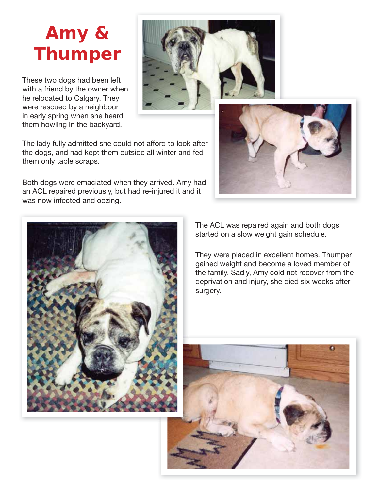### **Amy & Thumper**

These two dogs had been left with a friend by the owner when he relocated to Calgary. They were rescued by a neighbour in early spring when she heard them howling in the backyard.



The lady fully admitted she could not afford to look after the dogs, and had kept them outside all winter and fed them only table scraps.

Both dogs were emaciated when they arrived. Amy had an ACL repaired previously, but had re-injured it and it was now infected and oozing.





The ACL was repaired again and both dogs started on a slow weight gain schedule.

They were placed in excellent homes. Thumper gained weight and become a loved member of the family. Sadly, Amy cold not recover from the deprivation and injury, she died six weeks after surgery.

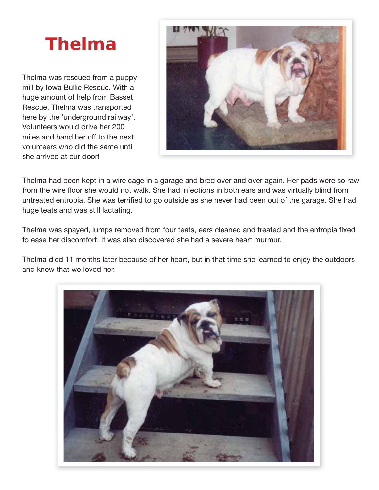# **Thelma**

Thelma was rescued from a puppy mill by Iowa Bullie Rescue. With a huge amount of help from Basset Rescue, Thelma was transported here by the 'underground railway'. Volunteers would drive her 200 miles and hand her off to the next volunteers who did the same until she arrived at our door!



Thelma had been kept in a wire cage in a garage and bred over and over again. Her pads were so raw from the wire floor she would not walk. She had infections in both ears and was virtually blind from untreated entropia. She was terrified to go outside as she never had been out of the garage. She had huge teats and was still lactating.

Thelma was spayed, lumps removed from four teats, ears cleaned and treated and the entropia fixed to ease her discomfort. It was also discovered she had a severe heart murmur.

Thelma died 11 months later because of her heart, but in that time she learned to enjoy the outdoors and knew that we loved her.

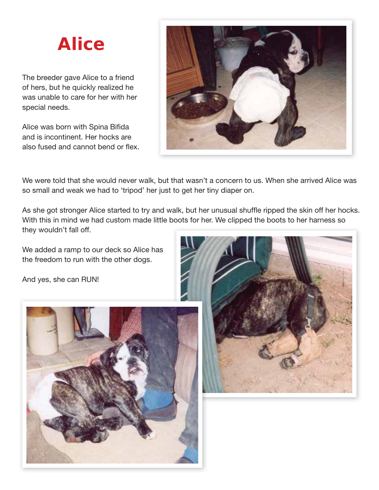## **Alice**

The breeder gave Alice to a friend of hers, but he quickly realized he was unable to care for her with her special needs.

Alice was born with Spina Bifida and is incontinent. Her hocks are also fused and cannot bend or flex.



We were told that she would never walk, but that wasn't a concern to us. When she arrived Alice was so small and weak we had to 'tripod' her just to get her tiny diaper on.

As she got stronger Alice started to try and walk, but her unusual shuffle ripped the skin off her hocks. With this in mind we had custom made little boots for her. We clipped the boots to her harness so they wouldn't fall off.

We added a ramp to our deck so Alice has the freedom to run with the other dogs.

And yes, she can RUN!



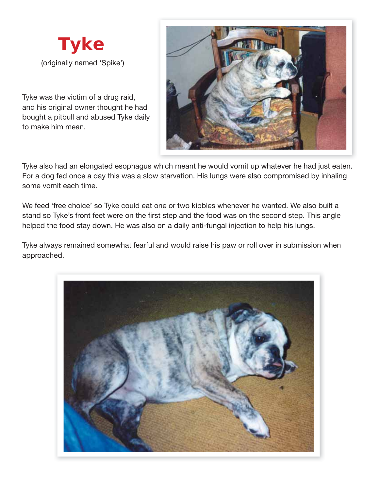

Tyke was the victim of a drug raid, and his original owner thought he had bought a pitbull and abused Tyke daily to make him mean.



Tyke also had an elongated esophagus which meant he would vomit up whatever he had just eaten. For a dog fed once a day this was a slow starvation. His lungs were also compromised by inhaling some vomit each time.

We feed 'free choice' so Tyke could eat one or two kibbles whenever he wanted. We also built a stand so Tyke's front feet were on the first step and the food was on the second step. This angle helped the food stay down. He was also on a daily anti-fungal injection to help his lungs.

Tyke always remained somewhat fearful and would raise his paw or roll over in submission when approached.